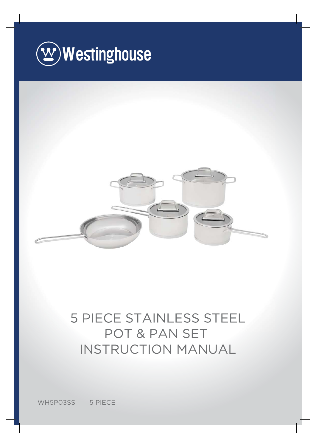



# 5 PIECE STAINLESS STEEL POT & PAN SET INSTRUCTION MANUAL

WH5P03SS | 5 PIECE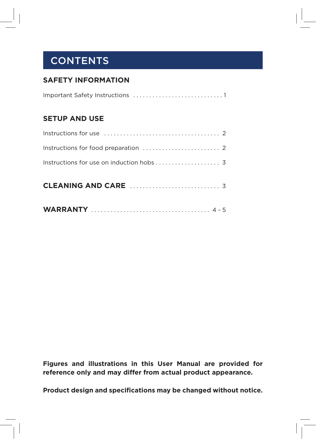## **CONTENTS**

#### **SAFETY INFORMATION**

#### **SETUP AND USE**

**Figures and illustrations in this User Manual are provided for reference only and may differ from actual product appearance.**

**Product design and specifications may be changed without notice.**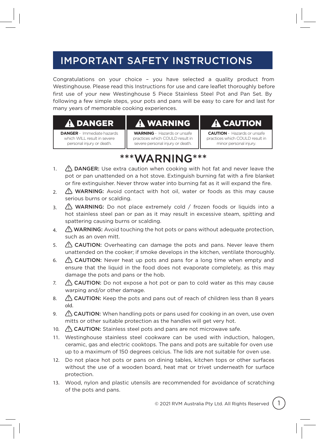## IMPORTANT SAFETY INSTRUCTIONS

Congratulations on your choice – you have selected a quality product from Westinghouse. Please read this Instructions for use and care leaflet thoroughly before first use of your new Westinghouse 5 Piece Stainless Steel Pot and Pan Set. By following a few simple steps, your pots and pans will be easy to care for and last for many years of memorable cooking experiences.

#### DANGER

**DANGER** - Immediate hazards which WILL result in severe personal injury or death.

#### WARNING

**WARNING** - Hazards or unsafe practices which COULD result in severe personal injury or death.

#### CAUTION

**CAUTION** - Hazards or unsafe practices which COULD result in minor personal injury.

### \*\*\*WARNING\*\*\*

- 1.  $\sqrt{2}$  DANGER: Use extra caution when cooking with hot fat and never leave the pot or pan unattended on a hot stove. Extinguish burning fat with a fire blanket or fire extinguisher. Never throw water into burning fat as it will expand the fire.
- 2.  $\sqrt{2}$  WARNING: Avoid contact with hot oil, water or foods as this may cause serious burns or scalding.
- 3. A WARNING: Do not place extremely cold / frozen foods or liquids into a hot stainless steel pan or pan as it may result in excessive steam, spitting and spattering causing burns or scalding.
- 4.  $\bigwedge$  WARNING: Avoid touching the hot pots or pans without adequate protection, such as an oven mitt.
- 5.  $\bigwedge$  CAUTION: Overheating can damage the pots and pans. Never leave them unattended on the cooker; if smoke develops in the kitchen, ventilate thoroughly.
- 6.  $\sqrt{2}$  CAUTION: Never heat up pots and pans for a long time when empty and ensure that the liquid in the food does not evaporate completely, as this may damage the pots and pans or the hob.
- 7.  $\triangle$  CAUTION: Do not expose a hot pot or pan to cold water as this may cause warping and/or other damage.
- 8.  $\bigwedge$  **CAUTION:** Keep the pots and pans out of reach of children less than 8 years old.
- 9.  $\sqrt{N}$  CAUTION: When handling pots or pans used for cooking in an oven, use oven mitts or other suitable protection as the handles will get very hot.
- 10.  $\triangle$  CAUTION: Stainless steel pots and pans are not microwave safe.
- 11. Westinghouse stainless steel cookware can be used with induction, halogen, c eramic, gas and electric cooktops. The pans and pots are suitable for oven use up to a maximum of 150 degrees celcius. The lids are not suitable for oven use.
- 12. Do not place hot pots or pans on dining tables, kitchen tops or other surfaces without the use of a wooden board, heat mat or trivet underneath for surface protection.
- 13. Wood, nylon and plastic utensils are recommended for avoidance of scratching of the pots and pans.

© 2021 RVM Australia Pty Ltd. All Rights Reserved 1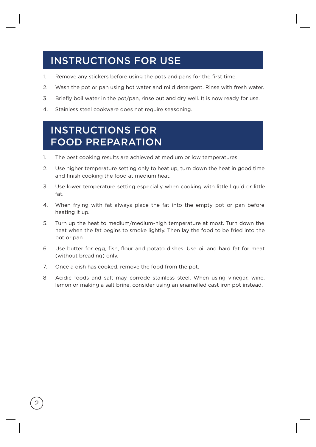### INSTRUCTIONS FOR USE

- 1. Remove any stickers before using the pots and pans for the first time.
- 2. Wash the pot or pan using hot water and mild detergent. Rinse with fresh water.
- 3. Briefly boil water in the pot/pan, rinse out and dry well. It is now ready for use.
- 4. Stainless steel cookware does not require seasoning.

#### INSTRUCTIONS FOR FOOD PREPARATION

- 1. The best cooking results are achieved at medium or low temperatures.
- 2. Use higher temperature setting only to heat up, turn down the heat in good time and finish cooking the food at medium heat.
- 3. Use lower temperature setting especially when cooking with little liquid or little fat.
- 4. When frying with fat always place the fat into the empty pot or pan before heating it up.
- 5. Turn up the heat to medium/medium-high temperature at most. Turn down the heat when the fat begins to smoke lightly. Then lay the food to be fried into the pot or pan.
- 6. Use butter for egg, fish, flour and potato dishes. Use oil and hard fat for meat (without breading) only.
- 7. Once a dish has cooked, remove the food from the pot.

2

8. Acidic foods and salt may corrode stainless steel. When using vinegar, wine, lemon or making a salt brine, consider using an enamelled cast iron pot instead.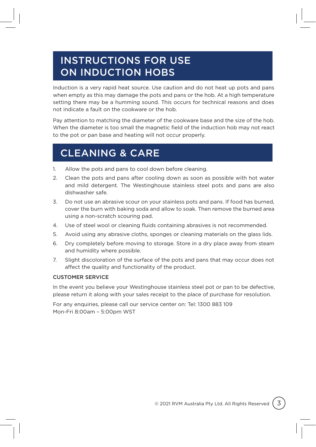### INSTRUCTIONS FOR USE ON INDUCTION HOBS

Induction is a very rapid heat source. Use caution and do not heat up pots and pans when empty as this may damage the pots and pans or the hob. At a high temperature setting there may be a humming sound. This occurs for technical reasons and does not indicate a fault on the cookware or the hob.

Pay attention to matching the diameter of the cookware base and the size of the hob. When the diameter is too small the magnetic field of the induction hob may not react to the pot or pan base and heating will not occur properly.

### CLEANING & CARE

- 1. Allow the pots and pans to cool down before cleaning.
- 2. Clean the pots and pans after cooling down as soon as possible with hot water and mild detergent. The Westinghouse stainless steel pots and pans are also dishwasher safe.
- 3. Do not use an abrasive scour on your stainless pots and pans. If food has burned, cover the burn with baking soda and allow to soak. Then remove the burned area using a non-scratch scouring pad.
- 4. Use of steel wool or cleaning fluids containing abrasives is not recommended.
- 5. Avoid using any abrasive cloths, sponges or cleaning materials on the glass lids.
- 6. Dry completely before moving to storage. Store in a dry place away from steam and humidity where possible.
- 7. Slight discoloration of the surface of the pots and pans that may occur does not affect the quality and functionality of the product.

#### CUSTOMER SERVICE

In the event you believe your Westinghouse stainless steel pot or pan to be defective, please return it along with your sales receipt to the place of purchase for resolution.

For any enquiries, please call our service center on: Tel: 1300 883 109 Mon-Fri 8:00am – 5:00pm WST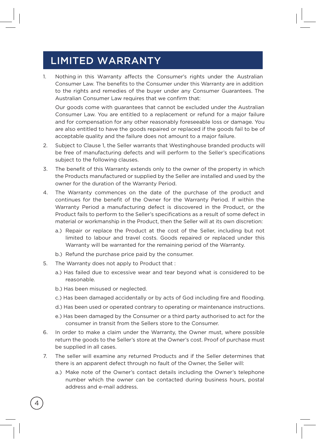#### LIMITED WARRANTY

1. Consumer Law. The benefits to the Consumer under this Warranty are in addition to the rights and remedies of the buyer under any Consumer Guarantees. The Australian Consumer Law requires that we confirm that: Nothing in this Warranty affects the Consumer's rights under the Australian

Our goods come with guarantees that cannot be excluded under the Australian Consumer Law. You are entitled to a replacement or refund for a major failure and for compensation for any other reasonably foreseeable loss or damage. You are also entitled to have the goods repaired or replaced if the goods fail to be of acceptable quality and the failure does not amount to a major failure.

- 2. Subject to Clause 1, the Seller warrants that Westinghouse branded products will be free of manufacturing defects and will perform to the Seller's specifications subject to the following clauses.
- 3. The benefit of this Warranty extends only to the owner of the property in which the Products manufactured or supplied by the Seller are installed and used by the owner for the duration of the Warranty Period.
- 4. The Warranty commences on the date of the purchase of the product and continues for the benefit of the Owner for the Warranty Period. If within the Warranty Period a manufacturing defect is discovered in the Product, or the Product fails to perform to the Seller's specifications as a result of some defect in material or workmanship in the Product, then the Seller will at its own discretion:
	- a.) Repair or replace the Product at the cost of the Seller, including but not limited to labour and travel costs. Goods repaired or replaced under this Warranty will be warranted for the remaining period of the Warranty.
	- b.) Refund the purchase price paid by the consumer.
- 5. The Warranty does not apply to Product that:
	- a.) Has failed due to excessive wear and tear beyond what is considered to be reasonable.
	- b.) Has been misused or neglected.

4

- c.) Has been damaged accidentally or by acts of God including fire and flooding.
- d.) Has been used or operated contrary to operating or maintenance instructions.
- e.) Has been damaged by the Consumer or a third party authorised to act for the consumer in transit from the Sellers store to the Consumer.
- 6. In order to make a claim under the Warranty, the Owner must, where possible return the goods to the Seller's store at the Owner's cost. Proof of purchase must be supplied in all cases.
- 7. The seller will examine any returned Products and if the Seller determines that there is an apparent defect through no fault of the Owner, the Seller will:
	- a.) Make note of the Owner's contact details including the Owner's telephone number which the owner can be contacted during business hours, postal address and e-mail address.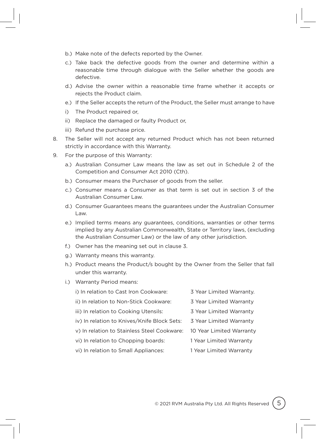- b.) Make note of the defects reported by the Owner.
- c.) Take back the defective goods from the owner and determine within a reasonable time through dialogue with the Seller whether the goods are defective.
- d.) Advise the owner within a reasonable time frame whether it accepts or rejects the Product claim.
- e.) If the Seller accepts the return of the Product, the Seller must arrange to have
- i) The Product repaired or,
- ii) Replace the damaged or faulty Product or,
- iii) Refund the purchase price.
- 8. The Seller will not accept any returned Product which has not been returned strictly in accordance with this Warranty.
- 9. For the purpose of this Warranty:
	- a.) Australian Consumer Law means the law as set out in Schedule 2 of the Competition and Consumer Act 2010 (Cth).
	- b.) Consumer means the Purchaser of goods from the seller.
	- c.) Consumer means a Consumer as that term is set out in section 3 of the Australian Consumer Law.
	- d.) Consumer Guarantees means the guarantees under the Australian Consumer Law.
	- e.) Implied terms means any guarantees, conditions, warranties or other terms implied by any Australian Commonwealth, State or Territory laws, (excluding the Australian Consumer Law) or the law of any other jurisdiction.
	- f.) Owner has the meaning set out in clause 3.
	- g.) Warranty means this warranty.
	- h.) Product means the Product/s bought by the Owner from the Seller that fall under this warranty.
	- i.) Warranty Period means:
		- i) In relation to Cast Iron Cookware: 3 Year Limited Warranty.
		- ii) In relation to Non-Stick Cookware: 3 Year Limited Warranty
		- iii) In relation to Cooking Utensils: 3 Year Limited Warranty
		- iv) In relation to Knives/Knife Block Sets: 3 Year Limited Warranty
		- v) In relation to Stainless Steel Cookware: 10 Year Limited Warranty
		- vi) In relation to Chopping boards: 1 Year Limited Warranty
		- vi) In relation to Small Appliances: 1 Year Limited Warranty